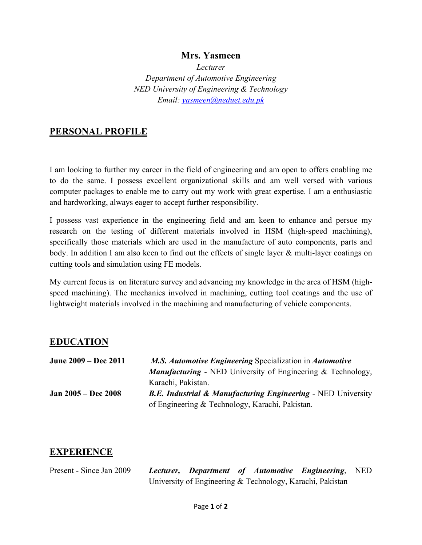#### **Mrs. Yasmeen**

*Lecturer Department of Automotive Engineering NED University of Engineering & Technology Email: yasmeen@neduet.edu.pk*

#### **PERSONAL PROFILE**

I am looking to further my career in the field of engineering and am open to offers enabling me to do the same. I possess excellent organizational skills and am well versed with various computer packages to enable me to carry out my work with great expertise. I am a enthusiastic and hardworking, always eager to accept further responsibility.

I possess vast experience in the engineering field and am keen to enhance and persue my research on the testing of different materials involved in HSM (high-speed machining), specifically those materials which are used in the manufacture of auto components, parts and body. In addition I am also keen to find out the effects of single layer & multi-layer coatings on cutting tools and simulation using FE models.

My current focus is on literature survey and advancing my knowledge in the area of HSM (highspeed machining). The mechanics involved in machining, cutting tool coatings and the use of lightweight materials involved in the machining and manufacturing of vehicle components.

#### **EDUCATION**

| June 2009 – Dec 2011       | M.S. Automotive Engineering Specialization in Automotive                |
|----------------------------|-------------------------------------------------------------------------|
|                            | <b>Manufacturing - NED University of Engineering &amp; Technology,</b>  |
|                            | Karachi, Pakistan.                                                      |
| <b>Jan 2005 – Dec 2008</b> | <b>B.E. Industrial &amp; Manufacturing Engineering - NED University</b> |
|                            | of Engineering & Technology, Karachi, Pakistan.                         |

#### **EXPERIENCE**

Present - Since Jan 2009 *Lecturer, Department of Automotive Engineering*, NED University of Engineering & Technology, Karachi, Pakistan